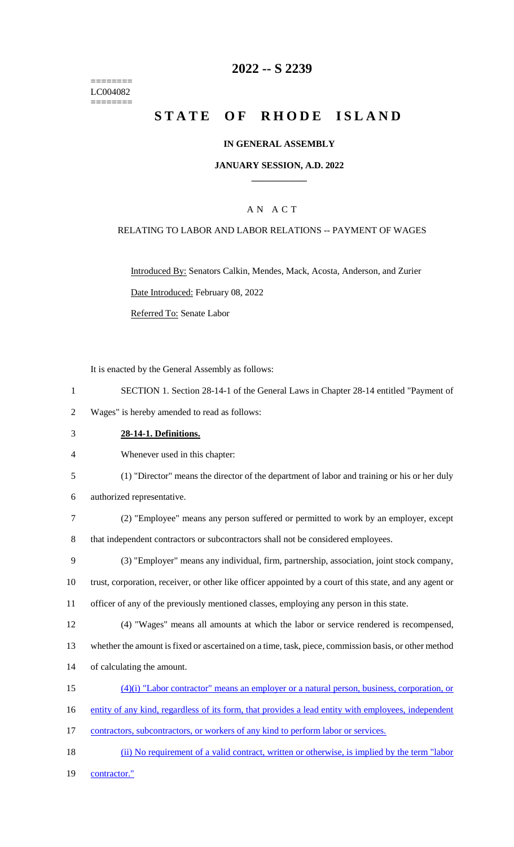======== LC004082 ========

## **2022 -- S 2239**

# **STATE OF RHODE ISLAND**

#### **IN GENERAL ASSEMBLY**

#### **JANUARY SESSION, A.D. 2022 \_\_\_\_\_\_\_\_\_\_\_\_**

### A N A C T

#### RELATING TO LABOR AND LABOR RELATIONS -- PAYMENT OF WAGES

Introduced By: Senators Calkin, Mendes, Mack, Acosta, Anderson, and Zurier Date Introduced: February 08, 2022 Referred To: Senate Labor

It is enacted by the General Assembly as follows:

- 1 SECTION 1. Section 28-14-1 of the General Laws in Chapter 28-14 entitled "Payment of
- 2 Wages" is hereby amended to read as follows:
- 3 **28-14-1. Definitions.**
- 4 Whenever used in this chapter:
- 5 (1) "Director" means the director of the department of labor and training or his or her duly
- 6 authorized representative.
- 7 (2) "Employee" means any person suffered or permitted to work by an employer, except 8 that independent contractors or subcontractors shall not be considered employees.
- 9 (3) "Employer" means any individual, firm, partnership, association, joint stock company,
- 10 trust, corporation, receiver, or other like officer appointed by a court of this state, and any agent or
- 11 officer of any of the previously mentioned classes, employing any person in this state.
- 12 (4) "Wages" means all amounts at which the labor or service rendered is recompensed,
- 13 whether the amount is fixed or ascertained on a time, task, piece, commission basis, or other method
- 14 of calculating the amount.
- 15 (4)(i) "Labor contractor" means an employer or a natural person, business, corporation, or
- 16 entity of any kind, regardless of its form, that provides a lead entity with employees, independent
- 17 contractors, subcontractors, or workers of any kind to perform labor or services.
- 18 (ii) No requirement of a valid contract, written or otherwise, is implied by the term "labor"

19 contractor."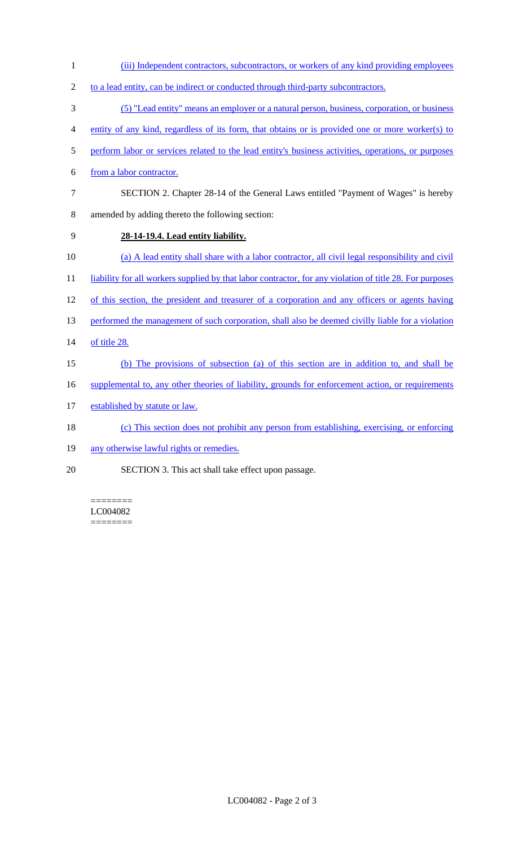- 1 (iii) Independent contractors, subcontractors, or workers of any kind providing employees
- 2 to a lead entity, can be indirect or conducted through third-party subcontractors.
- 3 (5) "Lead entity" means an employer or a natural person, business, corporation, or business
- 4 entity of any kind, regardless of its form, that obtains or is provided one or more worker(s) to
- 5 perform labor or services related to the lead entity's business activities, operations, or purposes
- 6 from a labor contractor.
- 7 SECTION 2. Chapter 28-14 of the General Laws entitled "Payment of Wages" is hereby 8 amended by adding thereto the following section:
- 9 **28-14-19.4. Lead entity liability.**
- 10 (a) A lead entity shall share with a labor contractor, all civil legal responsibility and civil
- 11 liability for all workers supplied by that labor contractor, for any violation of title 28. For purposes
- 12 of this section, the president and treasurer of a corporation and any officers or agents having
- 13 performed the management of such corporation, shall also be deemed civilly liable for a violation
- 14 of title 28.
- 15 (b) The provisions of subsection (a) of this section are in addition to, and shall be
- 16 supplemental to, any other theories of liability, grounds for enforcement action, or requirements
- 17 established by statute or law.
- 18 (c) This section does not prohibit any person from establishing, exercising, or enforcing
- 19 any otherwise lawful rights or remedies.
- 20 SECTION 3. This act shall take effect upon passage.

======== LC004082 ========